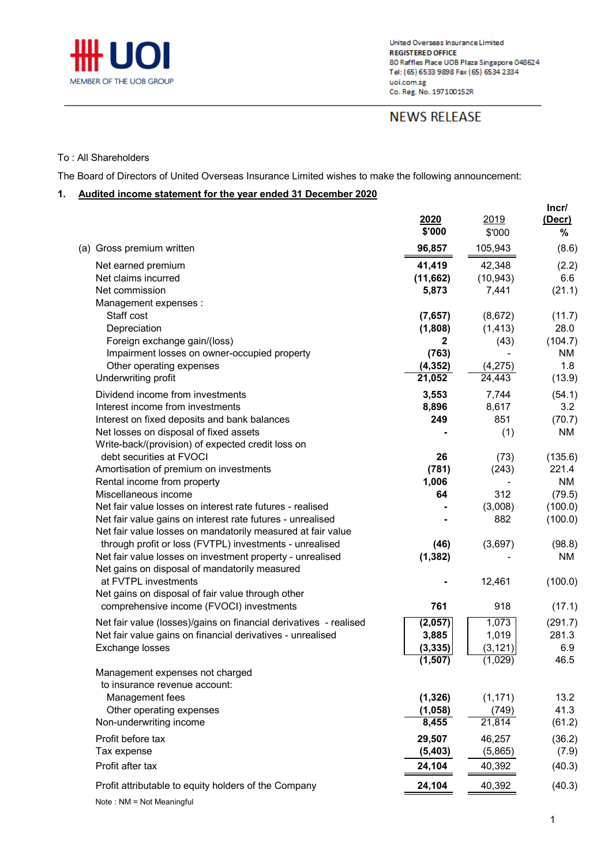

## **NEWS RELEASE**

#### To : All Shareholders

The Board of Directors of United Overseas Insurance Limited wishes to make the following announcement:

### **1. Audited income statement for the year ended 31 December 2020**

|                                                                                                                                                                                        | 2020<br>\$'000                                          | 2019<br>\$'000                         | Incr/<br>(Decr)<br>%                   |
|----------------------------------------------------------------------------------------------------------------------------------------------------------------------------------------|---------------------------------------------------------|----------------------------------------|----------------------------------------|
| (a) Gross premium written                                                                                                                                                              | 96,857                                                  | 105,943                                | (8.6)                                  |
| Net earned premium<br>Net claims incurred<br>Net commission                                                                                                                            | 41,419<br>(11,662)<br>5,873                             | 42,348<br>(10, 943)<br>7,441           | (2.2)<br>6.6<br>(21.1)                 |
| Management expenses :<br>Staff cost<br>Depreciation<br>Foreign exchange gain/(loss)<br>Impairment losses on owner-occupied property<br>Other operating expenses                        | (7,657)<br>(1,808)<br>$\mathbf{2}$<br>(763)<br>(4, 352) | (8,672)<br>(1, 413)<br>(43)<br>(4,275) | (11.7)<br>28.0<br>(104.7)<br>ΝM<br>1.8 |
| Underwriting profit                                                                                                                                                                    | 21,052                                                  | 24,443                                 | (13.9)                                 |
| Dividend income from investments<br>Interest income from investments<br>Interest on fixed deposits and bank balances<br>Net losses on disposal of fixed assets                         | 3,553<br>8,896<br>249                                   | 7,744<br>8,617<br>851<br>(1)           | (54.1)<br>3.2<br>(70.7)<br>NM          |
| Write-back/(provision) of expected credit loss on<br>debt securities at FVOCI<br>Amortisation of premium on investments                                                                | 26<br>(781)                                             | (73)<br>(243)                          | (135.6)<br>221.4                       |
| Rental income from property<br>Miscellaneous income                                                                                                                                    | 1,006<br>64                                             | 312                                    | <b>NM</b><br>(79.5)                    |
| Net fair value losses on interest rate futures - realised<br>Net fair value gains on interest rate futures - unrealised<br>Net fair value losses on mandatorily measured at fair value |                                                         | (3,008)<br>882                         | (100.0)<br>(100.0)                     |
| through profit or loss (FVTPL) investments - unrealised<br>Net fair value losses on investment property - unrealised<br>Net gains on disposal of mandatorily measured                  | (46)<br>(1, 382)                                        | (3,697)                                | (98.8)<br>NM                           |
| at FVTPL investments<br>Net gains on disposal of fair value through other<br>comprehensive income (FVOCI) investments                                                                  | 761                                                     | 12,461<br>918                          | (100.0)<br>(17.1)                      |
| Net fair value (losses)/gains on financial derivatives - realised<br>Net fair value gains on financial derivatives - unrealised<br>Exchange losses                                     | (2,057)<br>3,885<br>(3, 335)<br>(1, 507)                | 1,073<br>1,019<br>(3, 121)<br>(1,029)  | (291.7)<br>281.3<br>6.9<br>46.5        |
| Management expenses not charged<br>to insurance revenue account:<br>Management fees<br>Other operating expenses<br>Non-underwriting income                                             | (1, 326)<br>(1,058)<br>8,455                            | (1, 171)<br>(749)<br>21,814            | 13.2<br>41.3<br>(61.2)                 |
| Profit before tax<br>Tax expense<br>Profit after tax                                                                                                                                   | 29,507<br>(5,403)<br>24,104                             | 46,257<br>(5,865)<br>40,392            | (36.2)<br>(7.9)<br>(40.3)              |
| Profit attributable to equity holders of the Company                                                                                                                                   | 24,104                                                  | 40,392                                 | (40.3)                                 |
|                                                                                                                                                                                        |                                                         |                                        |                                        |

Note : NM = Not Meaningful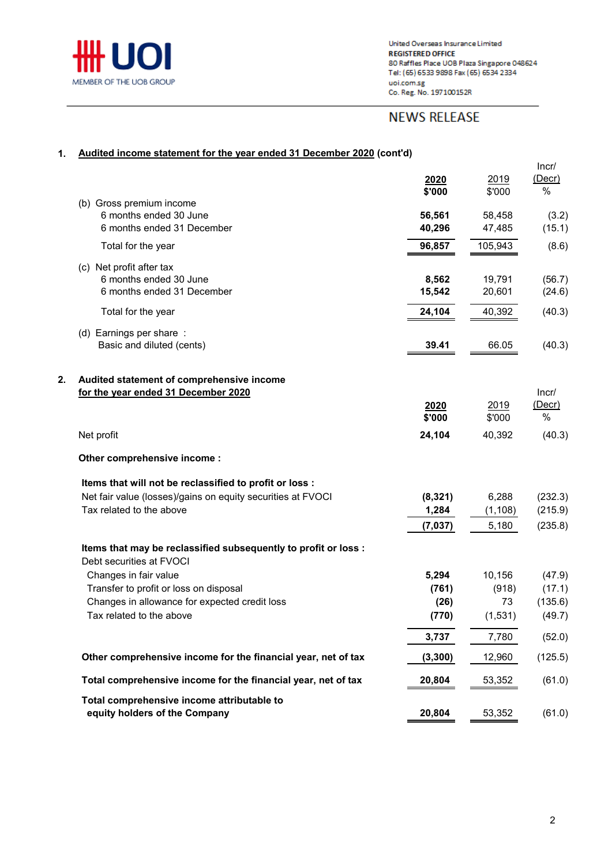

# **NEWS RELEASE**

### **1. Audited income statement for the year ended 31 December 2020 (cont'd)**

|    |                                                                                                                                              | 2020<br>\$'000                  | 2019<br>\$'000                    | Incr/<br>$($ Decr $)$<br>$\%$         |
|----|----------------------------------------------------------------------------------------------------------------------------------------------|---------------------------------|-----------------------------------|---------------------------------------|
|    | (b) Gross premium income<br>6 months ended 30 June<br>6 months ended 31 December                                                             | 56,561<br>40,296                | 58,458<br>47,485                  | (3.2)<br>(15.1)                       |
|    | Total for the year                                                                                                                           | 96,857                          | 105,943                           | (8.6)                                 |
|    | (c) Net profit after tax<br>6 months ended 30 June<br>6 months ended 31 December                                                             | 8,562<br>15,542                 | 19,791<br>20,601                  | (56.7)<br>(24.6)                      |
|    | Total for the year                                                                                                                           | 24,104                          | 40,392                            | (40.3)                                |
|    | (d) Earnings per share:<br>Basic and diluted (cents)                                                                                         | 39.41                           | 66.05                             | (40.3)                                |
| 2. | Audited statement of comprehensive income<br>for the year ended 31 December 2020                                                             | 2020<br>\$'000                  | 2019<br>\$'000                    | Incr/<br>$($ Decr $)$<br>%            |
|    | Net profit                                                                                                                                   | 24,104                          | 40,392                            | (40.3)                                |
|    | Other comprehensive income:                                                                                                                  |                                 |                                   |                                       |
|    | Items that will not be reclassified to profit or loss :                                                                                      |                                 |                                   |                                       |
|    | Net fair value (losses)/gains on equity securities at FVOCI<br>Tax related to the above                                                      | (8, 321)<br>1,284<br>(7, 037)   | 6,288<br>(1, 108)<br>5,180        | (232.3)<br>(215.9)<br>(235.8)         |
|    | Items that may be reclassified subsequently to profit or loss :<br>Debt securities at FVOCI                                                  |                                 |                                   |                                       |
|    | Changes in fair value<br>Transfer to profit or loss on disposal<br>Changes in allowance for expected credit loss<br>Tax related to the above | 5,294<br>(761)<br>(26)<br>(770) | 10,156<br>(918)<br>73<br>(1, 531) | (47.9)<br>(17.1)<br>(135.6)<br>(49.7) |
|    |                                                                                                                                              | 3,737                           | 7,780                             | (52.0)                                |
|    | Other comprehensive income for the financial year, net of tax                                                                                | (3, 300)                        | 12,960                            | (125.5)                               |
|    | Total comprehensive income for the financial year, net of tax                                                                                | 20,804                          | 53,352                            | (61.0)                                |
|    | Total comprehensive income attributable to<br>equity holders of the Company                                                                  | 20,804                          | 53,352                            | (61.0)                                |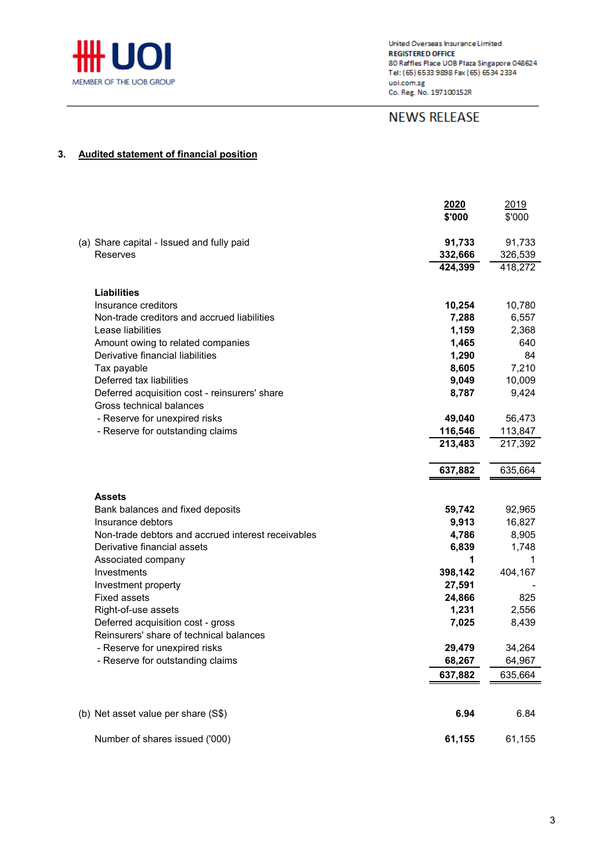

# **NEWS RELEASE**

### **3. Audited statement of financial position**

|                                                    | <b>2020</b><br>\$'000 | <u>2019</u><br>\$'000 |
|----------------------------------------------------|-----------------------|-----------------------|
| (a) Share capital - Issued and fully paid          | 91,733                | 91,733                |
| Reserves                                           | 332,666               | 326,539               |
|                                                    | 424,399               | 418,272               |
| <b>Liabilities</b>                                 |                       |                       |
| Insurance creditors                                | 10,254                | 10,780                |
| Non-trade creditors and accrued liabilities        | 7,288                 | 6,557                 |
| Lease liabilities                                  | 1,159                 | 2,368                 |
| Amount owing to related companies                  | 1,465                 | 640                   |
| Derivative financial liabilities                   | 1,290                 | 84                    |
| Tax payable                                        | 8,605                 | 7,210                 |
| Deferred tax liabilities                           | 9,049                 | 10,009                |
| Deferred acquisition cost - reinsurers' share      | 8,787                 | 9,424                 |
| Gross technical balances                           |                       |                       |
| - Reserve for unexpired risks                      | 49,040                | 56,473                |
| - Reserve for outstanding claims                   | 116,546               | 113,847               |
|                                                    | 213,483               | 217,392               |
|                                                    |                       |                       |
|                                                    | 637,882               | 635,664               |
|                                                    |                       |                       |
| Assets                                             |                       |                       |
| Bank balances and fixed deposits                   | 59,742                | 92,965                |
| Insurance debtors                                  | 9,913                 | 16,827                |
| Non-trade debtors and accrued interest receivables | 4,786                 | 8,905                 |
| Derivative financial assets                        | 6,839                 | 1,748                 |
| Associated company                                 | 1                     | 1                     |
| Investments                                        | 398,142               | 404,167               |
| Investment property<br><b>Fixed assets</b>         | 27,591                |                       |
| Right-of-use assets                                | 24,866<br>1,231       | 825<br>2,556          |
| Deferred acquisition cost - gross                  | 7,025                 | 8,439                 |
| Reinsurers' share of technical balances            |                       |                       |
| - Reserve for unexpired risks                      | 29,479                | 34,264                |
| - Reserve for outstanding claims                   | 68,267                | 64,967                |
|                                                    | 637,882               | 635,664               |
|                                                    |                       |                       |
|                                                    |                       |                       |
| (b) Net asset value per share (S\$)                | 6.94                  | 6.84                  |
| Number of shares issued ('000)                     | 61,155                | 61,155                |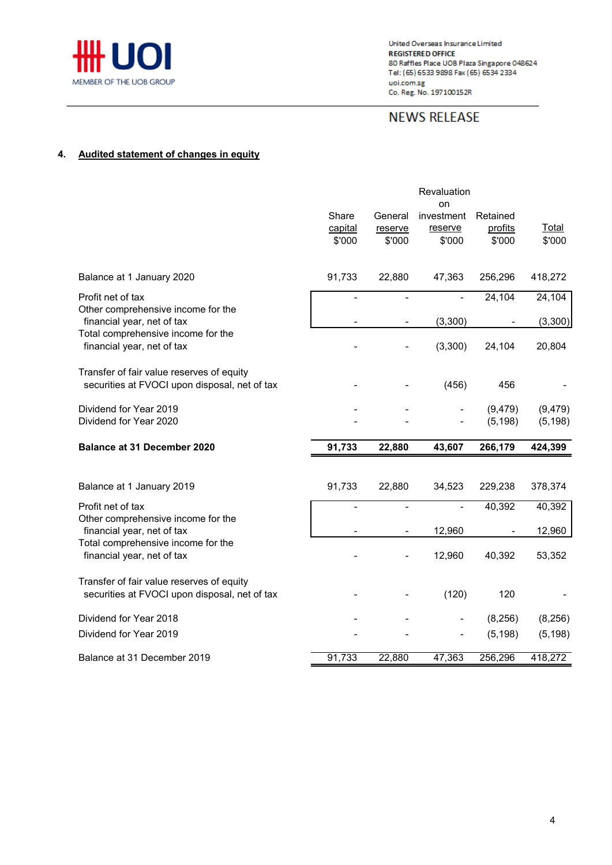

# **NEWS RELEASE**

### **4. Audited statement of changes in equity**

|                                                                                            | Share                    | General           | Revaluation<br>on<br>investment | Retained             |                      |
|--------------------------------------------------------------------------------------------|--------------------------|-------------------|---------------------------------|----------------------|----------------------|
|                                                                                            | capital<br>\$'000        | reserve<br>\$'000 | reserve<br>\$'000               | profits<br>\$'000    | Total<br>\$'000      |
| Balance at 1 January 2020                                                                  | 91,733                   | 22,880            | 47,363                          | 256,296              | 418,272              |
| Profit net of tax<br>Other comprehensive income for the                                    |                          |                   |                                 | 24,104               | 24,104               |
| financial year, net of tax                                                                 |                          |                   | (3,300)                         |                      | (3,300)              |
| Total comprehensive income for the<br>financial year, net of tax                           |                          |                   | (3,300)                         | 24,104               | 20,804               |
| Transfer of fair value reserves of equity<br>securities at FVOCI upon disposal, net of tax |                          |                   | (456)                           | 456                  |                      |
| Dividend for Year 2019<br>Dividend for Year 2020                                           |                          |                   |                                 | (9, 479)<br>(5, 198) | (9, 479)<br>(5, 198) |
| <b>Balance at 31 December 2020</b>                                                         | 91,733                   | 22,880            | 43,607                          | 266,179              | 424,399              |
|                                                                                            |                          |                   |                                 |                      |                      |
| Balance at 1 January 2019                                                                  | 91,733                   | 22,880            | 34,523                          | 229,238              | 378,374              |
| Profit net of tax                                                                          | $\overline{\phantom{a}}$ | ä,                |                                 | 40,392               | 40,392               |
| Other comprehensive income for the<br>financial year, net of tax                           |                          |                   | 12,960                          |                      | 12,960               |
| Total comprehensive income for the<br>financial year, net of tax                           |                          |                   | 12,960                          | 40,392               | 53,352               |
| Transfer of fair value reserves of equity<br>securities at FVOCI upon disposal, net of tax |                          |                   | (120)                           | 120                  |                      |
| Dividend for Year 2018                                                                     |                          |                   | $\qquad \qquad \blacksquare$    | (8,256)              | (8, 256)             |
| Dividend for Year 2019                                                                     |                          |                   |                                 | (5, 198)             | (5, 198)             |
| Balance at 31 December 2019                                                                | 91,733                   | 22,880            | 47,363                          | 256,296              | 418,272              |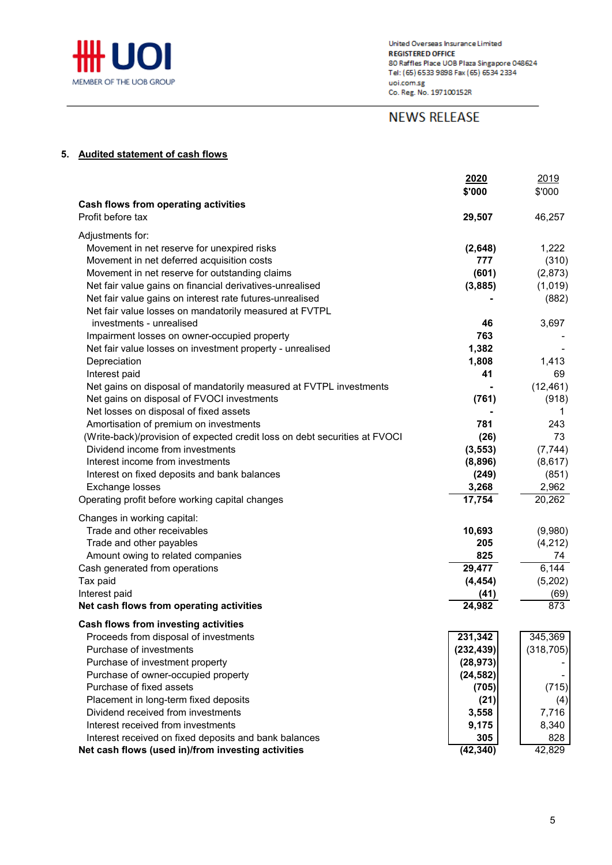

## **NEWS RELEASE**

### **5. Audited statement of cash flows**

|                                                                                    | 2020<br>\$'000        | 2019<br>\$'000        |
|------------------------------------------------------------------------------------|-----------------------|-----------------------|
| <b>Cash flows from operating activities</b>                                        |                       |                       |
| Profit before tax                                                                  | 29,507                | 46,257                |
| Adjustments for:                                                                   |                       |                       |
| Movement in net reserve for unexpired risks                                        | (2,648)               | 1,222                 |
| Movement in net deferred acquisition costs                                         | 777                   | (310)                 |
| Movement in net reserve for outstanding claims                                     | (601)                 | (2,873)               |
| Net fair value gains on financial derivatives-unrealised                           | (3,885)               | (1,019)               |
| Net fair value gains on interest rate futures-unrealised                           |                       | (882)                 |
| Net fair value losses on mandatorily measured at FVTPL<br>investments - unrealised | 46                    |                       |
| Impairment losses on owner-occupied property                                       | 763                   | 3,697                 |
| Net fair value losses on investment property - unrealised                          | 1,382                 |                       |
| Depreciation                                                                       | 1,808                 | 1,413                 |
| Interest paid                                                                      | 41                    | 69                    |
| Net gains on disposal of mandatorily measured at FVTPL investments                 |                       | (12, 461)             |
| Net gains on disposal of FVOCI investments                                         | (761)                 | (918)                 |
| Net losses on disposal of fixed assets                                             |                       | 1                     |
| Amortisation of premium on investments                                             | 781                   | 243                   |
| (Write-back)/provision of expected credit loss on debt securities at FVOCI         | (26)                  | 73                    |
| Dividend income from investments                                                   | (3, 553)              | (7, 744)              |
| Interest income from investments                                                   | (8,896)               | (8,617)               |
| Interest on fixed deposits and bank balances                                       | (249)                 | (851)                 |
| Exchange losses                                                                    | 3,268                 | 2,962                 |
| Operating profit before working capital changes                                    | $\overline{17,754}$   | 20,262                |
| Changes in working capital:                                                        |                       |                       |
| Trade and other receivables                                                        | 10,693                | (9,980)               |
| Trade and other payables                                                           | 205                   | (4,212)               |
| Amount owing to related companies                                                  | 825                   | 74                    |
| Cash generated from operations                                                     | 29,477                | 6,144                 |
| Tax paid                                                                           | (4, 454)              | (5,202)               |
| Interest paid<br>Net cash flows from operating activities                          | (41)<br>24,982        | (69)<br>873           |
|                                                                                    |                       |                       |
| Cash flows from investing activities                                               |                       |                       |
| Proceeds from disposal of investments<br>Purchase of investments                   | 231,342<br>(232, 439) | 345,369<br>(318, 705) |
| Purchase of investment property                                                    | (28, 973)             |                       |
| Purchase of owner-occupied property                                                | (24, 582)             |                       |
| Purchase of fixed assets                                                           | (705)                 | (715)                 |
| Placement in long-term fixed deposits                                              | (21)                  | (4)                   |
| Dividend received from investments                                                 | 3,558                 | 7,716                 |
| Interest received from investments                                                 | 9,175                 | 8,340                 |
| Interest received on fixed deposits and bank balances                              | 305                   | 828                   |
| Net cash flows (used in)/from investing activities                                 | (42, 340)             | 42,829                |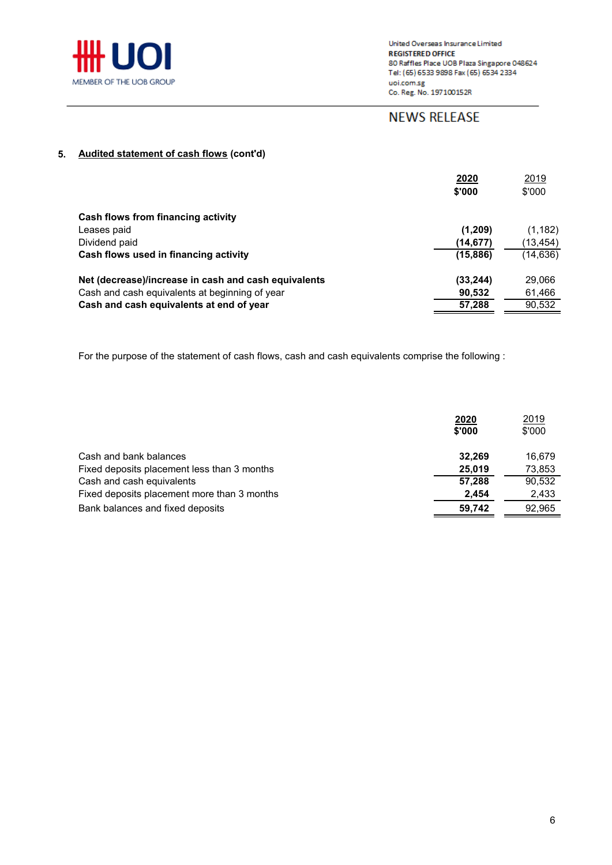

# **NEWS RELEASE**

### **5. Audited statement of cash flows (cont'd)**

|                                                      | 2020<br>\$'000 | 2019<br>\$'000 |
|------------------------------------------------------|----------------|----------------|
| Cash flows from financing activity                   |                |                |
| Leases paid                                          | (1,209)        | (1, 182)       |
| Dividend paid                                        | (14,677)       | (13, 454)      |
| Cash flows used in financing activity                | (15, 886)      | (14,636)       |
| Net (decrease)/increase in cash and cash equivalents | (33, 244)      | 29,066         |
| Cash and cash equivalents at beginning of year       | 90,532         | 61,466         |
| Cash and cash equivalents at end of year             | 57,288         | 90,532         |

For the purpose of the statement of cash flows, cash and cash equivalents comprise the following :

| 2020<br>\$'000                                        | 2019<br>\$'000 |
|-------------------------------------------------------|----------------|
| Cash and bank balances<br>32.269                      | 16.679         |
| Fixed deposits placement less than 3 months<br>25.019 | 73,853         |
| Cash and cash equivalents<br>57.288                   | 90.532         |
| Fixed deposits placement more than 3 months<br>2.454  | 2,433          |
| Bank balances and fixed deposits<br>59,742            | 92,965         |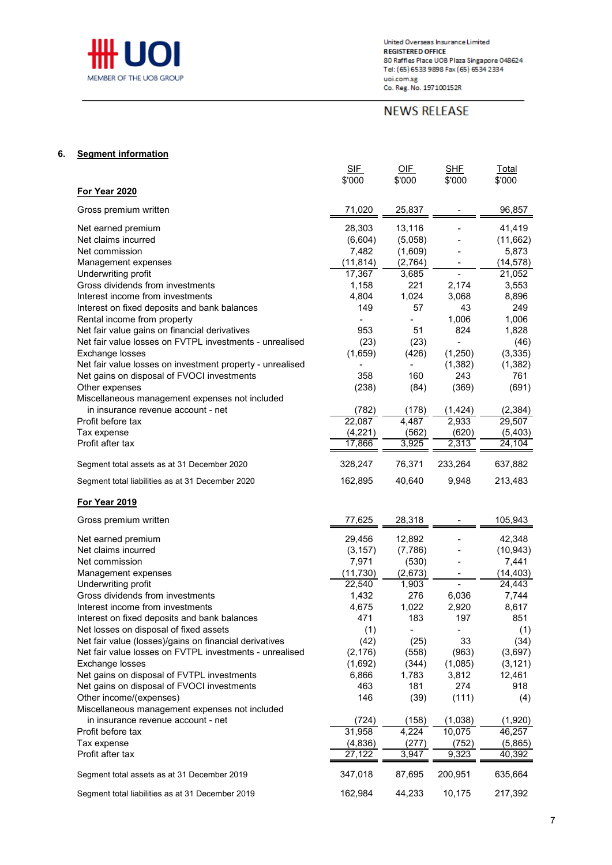

United Overseas Insurance Limited **REGISTERED OFFICE** 80 Raffles Place UOB Plaza Singapore 048624<br>Tel: (65) 6533 9898 Fax (65) 6534 2334 value (day assessed on the team of the state of the state of the state of the Second Second Second Second Second Second Second Second Second Second Second Second Second Second Second Second Second Second Second Second Seco

# **NEWS RELEASE**

#### **6. Segment information**

|                                                                                                  | <u>SIF</u><br>\$'000 | <u>OIF</u><br>\$'000     | <u>SHF</u><br>\$'000 | <u>Total</u><br>\$'000 |
|--------------------------------------------------------------------------------------------------|----------------------|--------------------------|----------------------|------------------------|
| For Year 2020                                                                                    |                      |                          |                      |                        |
| Gross premium written                                                                            | 71,020               | 25,837                   |                      | 96,857                 |
| Net earned premium                                                                               | 28,303               | 13,116                   |                      | 41,419                 |
| Net claims incurred                                                                              | (6,604)              | (5,058)                  |                      | (11,662)               |
| Net commission                                                                                   | 7,482                | (1,609)                  |                      | 5,873                  |
| Management expenses                                                                              | (11, 814)            | (2,764)                  |                      | (14, 578)              |
| Underwriting profit                                                                              | 17,367               | 3,685                    |                      | 21,052                 |
| Gross dividends from investments                                                                 | 1,158                | 221                      | 2,174                | 3,553                  |
| Interest income from investments                                                                 | 4,804                | 1,024                    | 3,068                | 8,896                  |
| Interest on fixed deposits and bank balances                                                     | 149                  | 57                       | 43                   | 249                    |
| Rental income from property<br>Net fair value gains on financial derivatives                     | 953                  | 51                       | 1,006<br>824         | 1,006<br>1,828         |
| Net fair value losses on FVTPL investments - unrealised                                          | (23)                 | (23)                     | $\overline{a}$       | (46)                   |
| Exchange losses                                                                                  | (1,659)              | (426)                    | (1,250)              | (3,335)                |
| Net fair value losses on investment property - unrealised                                        |                      | -                        | (1, 382)             | (1, 382)               |
| Net gains on disposal of FVOCI investments                                                       | 358                  | 160                      | 243                  | 761                    |
| Other expenses                                                                                   | (238)                | (84)                     | (369)                | (691)                  |
| Miscellaneous management expenses not included                                                   |                      |                          |                      |                        |
| in insurance revenue account - net                                                               | (782)                | (178)                    | (1, 424)             | (2, 384)               |
| Profit before tax                                                                                | 22,087               | 4.487                    | 2,933                | 29,507                 |
| Tax expense                                                                                      | (4,221)              | (562)                    | (620)                | (5,403)                |
| Profit after tax                                                                                 | 17,866               | 3,925                    | 2,313                | 24,104                 |
| Segment total assets as at 31 December 2020                                                      | 328,247              | 76,371                   | 233,264              | 637,882                |
| Segment total liabilities as at 31 December 2020                                                 | 162,895              | 40,640                   | 9,948                | 213,483                |
| <b>For Year 2019</b>                                                                             |                      |                          |                      |                        |
| Gross premium written                                                                            | 77.625               | 28,318                   |                      | 105,943                |
| Net earned premium                                                                               | 29,456               | 12,892                   |                      | 42,348                 |
| Net claims incurred                                                                              | (3, 157)             | (7,786)                  |                      | (10, 943)              |
| Net commission                                                                                   | 7,971                | (530)                    |                      | 7,441                  |
| Management expenses                                                                              | (11, 730)            | (2,673)                  |                      | (14, 403)              |
| Underwriting profit                                                                              | 22,540               | 1,903                    |                      | 24,443                 |
| Gross dividends from investments                                                                 | 1,432                | 276                      | 6,036                | 7,744                  |
| Interest income from investments                                                                 | 4,675                | 1,022                    | 2,920                | 8,617                  |
| Interest on fixed deposits and bank balances                                                     | 471                  | 183                      | 197                  | 851                    |
| Net losses on disposal of fixed assets<br>Net fair value (losses)/gains on financial derivatives | (1)                  | $\overline{\phantom{0}}$ |                      | (1)                    |
| Net fair value losses on FVTPL investments - unrealised                                          | (42)<br>(2, 176)     | (25)<br>(558)            | 33<br>(963)          | (34)<br>(3,697)        |
| Exchange losses                                                                                  | (1,692)              | (344)                    | (1,085)              | (3, 121)               |
| Net gains on disposal of FVTPL investments                                                       | 6,866                | 1,783                    | 3,812                | 12,461                 |
| Net gains on disposal of FVOCI investments                                                       | 463                  | 181                      | 274                  | 918                    |
| Other income/(expenses)                                                                          | 146                  | (39)                     | (111)                | (4)                    |
| Miscellaneous management expenses not included                                                   |                      |                          |                      |                        |
| in insurance revenue account - net                                                               | (724)                | (158)                    | (1,038)              | (1,920)                |
| Profit before tax                                                                                | 31,958               | 4,224                    | 10,075               | 46,257                 |
| Tax expense                                                                                      | (4, 836)             | (277)                    | (752)                | (5,865)                |
| Profit after tax                                                                                 | 27,122               | 3,947                    | 9,323                | 40,392                 |
| Segment total assets as at 31 December 2019                                                      | 347,018              | 87,695                   | 200,951              | 635,664                |
| Segment total liabilities as at 31 December 2019                                                 | 162,984              | 44,233                   | 10,175               | 217,392                |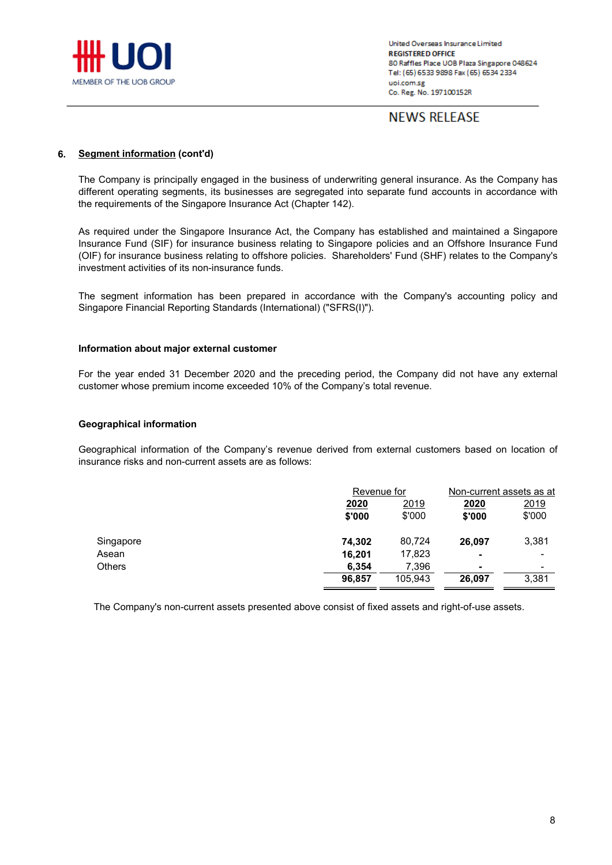

## **NEWS RELEASE**

#### **6. Segment information (cont'd)**

The Company is principally engaged in the business of underwriting general insurance. As the Company has different operating segments, its businesses are segregated into separate fund accounts in accordance with the requirements of the Singapore Insurance Act (Chapter 142).

As required under the Singapore Insurance Act, the Company has established and maintained a Singapore Insurance Fund (SIF) for insurance business relating to Singapore policies and an Offshore Insurance Fund (OIF) for insurance business relating to offshore policies. Shareholders' Fund (SHF) relates to the Company's investment activities of its non-insurance funds.

The segment information has been prepared in accordance with the Company's accounting policy and Singapore Financial Reporting Standards (International) ("SFRS(I)").

#### **Information about major external customer**

For the year ended 31 December 2020 and the preceding period, the Company did not have any external customer whose premium income exceeded 10% of the Company's total revenue.

#### **Geographical information**

Geographical information of the Company's revenue derived from external customers based on location of insurance risks and non-current assets are as follows:

|               |                | Revenue for    |                | Non-current assets as at |
|---------------|----------------|----------------|----------------|--------------------------|
|               | 2020<br>\$'000 | 2019<br>\$'000 | 2020<br>\$'000 | 2019<br>\$'000           |
| Singapore     | 74.302         | 80,724         | 26.097         | 3,381                    |
| Asean         | 16.201         | 17,823         | $\blacksquare$ | ۰                        |
| <b>Others</b> | 6.354          | 7,396          | ۰              | ۰                        |
|               | 96,857         | 105,943        | 26.097         | 3,381                    |

The Company's non-current assets presented above consist of fixed assets and right-of-use assets.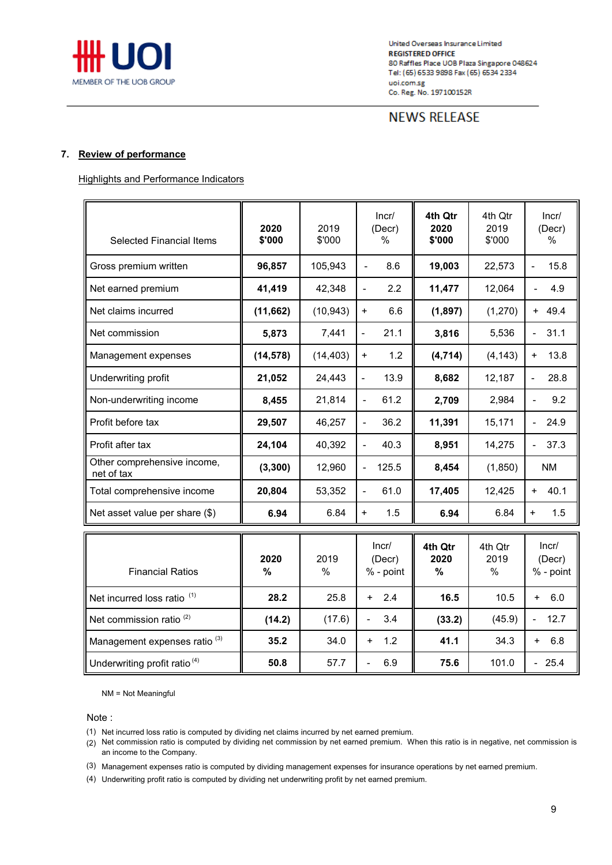

## **NEWS RELEASE**

#### **7. Review of performance**

Highlights and Performance Indicators

| 2020<br>\$'000 | 2019<br>\$'000 | Incr/<br>(Decr)<br>$\%$           | 4th Otr<br>2020<br>\$'000 | 4th Otr<br>2019<br>\$'000 | Incr/<br>(Decr)<br>$\%$          |
|----------------|----------------|-----------------------------------|---------------------------|---------------------------|----------------------------------|
| 96,857         | 105,943        | 8.6<br>$\blacksquare$             | 19,003                    | 22,573                    | 15.8<br>$\blacksquare$           |
| 41,419         | 42,348         | 2.2<br>$\overline{\phantom{a}}$   | 11,477                    | 12,064                    | 4.9                              |
| (11, 662)      | (10, 943)      | 6.6<br>$\ddot{}$                  | (1, 897)                  | (1,270)                   | $+ 49.4$                         |
| 5,873          | 7,441          | 21.1<br>$\overline{\phantom{0}}$  | 3,816                     | 5,536                     | 31.1<br>$\overline{\phantom{0}}$ |
| (14, 578)      | (14, 403)      | 1.2<br>$\ddot{}$                  | (4, 714)                  | (4, 143)                  | 13.8<br>$\ddot{}$                |
| 21,052         | 24,443         | 13.9<br>$\frac{1}{2}$             | 8,682                     | 12,187                    | 28.8<br>$\overline{\phantom{a}}$ |
| 8,455          | 21,814         | 61.2<br>$\overline{a}$            | 2,709                     | 2,984                     | 9.2<br>÷,                        |
| 29,507         | 46.257         | 36.2<br>$\blacksquare$            | 11,391                    | 15,171                    | 24.9<br>$\overline{\phantom{0}}$ |
| 24,104         | 40,392         | 40.3<br>$\blacksquare$            | 8,951                     | 14,275                    | 37.3                             |
| (3, 300)       | 12,960         | 125.5<br>$\overline{\phantom{a}}$ | 8,454                     | (1,850)                   | <b>NM</b>                        |
| 20,804         | 53,352         | 61.0<br>$\blacksquare$            | 17,405                    | 12,425                    | 40.1<br>$\ddot{}$                |
| 6.94           | 6.84           | 1.5<br>$\ddot{}$                  | 6.94                      | 6.84                      | $\ddot{}$<br>1.5                 |
| 2020<br>%      | 2019<br>%      | Incr/<br>(Decr)<br>% - point      | 4th Qtr<br>2020<br>%      | 4th Qtr<br>2019<br>%      | Incr/<br>(Decr)<br>% - point     |
| 28.2           | 25.8           | 2.4<br>$+$                        | 16.5                      | 10.5                      | 6.0<br>$\ddot{}$                 |
| (14.2)         | (17.6)         | 3.4                               | (33.2)                    | (45.9)                    | 12.7                             |
|                |                |                                   |                           |                           |                                  |

NM = Not Meaningful

Note :

(1) Net incurred loss ratio is computed by dividing net claims incurred by net earned premium.

(2) Net commission ratio is computed by dividing net commission by net earned premium. When this ratio is in negative, net commission is an income to the Company.

Management expenses ratio <sup>(3)</sup>  $\begin{vmatrix} 3 & 35.2 & 34.0 & + 1.2 & + 41.1 & 34.3 & + 6.8 \end{vmatrix}$ 

Underwriting profit ratio <sup>(4)</sup> | 50.8 | 57.7 | - 6.9 | 75.6 | 101.0 | - 25.4

(3) Management expenses ratio is computed by dividing management expenses for insurance operations by net earned premium.

(4) Underwriting profit ratio is computed by dividing net underwriting profit by net earned premium.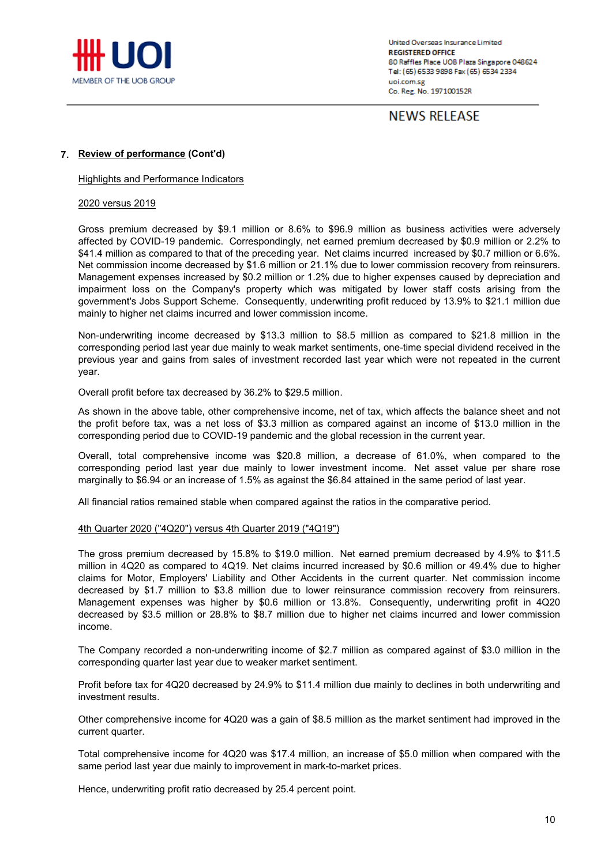

**NEWS RELEASE** 

#### **7. Review of performance (Cont'd)**

Highlights and Performance Indicators

#### 2020 versus 2019

Gross premium decreased by \$9.1 million or 8.6% to \$96.9 million as business activities were adversely affected by COVID-19 pandemic. Correspondingly, net earned premium decreased by \$0.9 million or 2.2% to \$41.4 million as compared to that of the preceding year. Net claims incurred increased by \$0.7 million or 6.6%. Net commission income decreased by \$1.6 million or 21.1% due to lower commission recovery from reinsurers. Management expenses increased by \$0.2 million or 1.2% due to higher expenses caused by depreciation and impairment loss on the Company's property which was mitigated by lower staff costs arising from the government's Jobs Support Scheme. Consequently, underwriting profit reduced by 13.9% to \$21.1 million due mainly to higher net claims incurred and lower commission income.

Non-underwriting income decreased by \$13.3 million to \$8.5 million as compared to \$21.8 million in the corresponding period last year due mainly to weak market sentiments, one-time special dividend received in the previous year and gains from sales of investment recorded last year which were not repeated in the current year.

Overall profit before tax decreased by 36.2% to \$29.5 million.

As shown in the above table, other comprehensive income, net of tax, which affects the balance sheet and not the profit before tax, was a net loss of \$3.3 million as compared against an income of \$13.0 million in the corresponding period due to COVID-19 pandemic and the global recession in the current year.

Overall, total comprehensive income was \$20.8 million, a decrease of 61.0%, when compared to the corresponding period last year due mainly to lower investment income. Net asset value per share rose marginally to \$6.94 or an increase of 1.5% as against the \$6.84 attained in the same period of last year.

All financial ratios remained stable when compared against the ratios in the comparative period.

#### 4th Quarter 2020 ("4Q20") versus 4th Quarter 2019 ("4Q19")

The gross premium decreased by 15.8% to \$19.0 million. Net earned premium decreased by 4.9% to \$11.5 million in 4Q20 as compared to 4Q19. Net claims incurred increased by \$0.6 million or 49.4% due to higher claims for Motor, Employers' Liability and Other Accidents in the current quarter. Net commission income decreased by \$1.7 million to \$3.8 million due to lower reinsurance commission recovery from reinsurers. Management expenses was higher by \$0.6 million or 13.8%. Consequently, underwriting profit in 4Q20 decreased by \$3.5 million or 28.8% to \$8.7 million due to higher net claims incurred and lower commission income.

The Company recorded a non-underwriting income of \$2.7 million as compared against of \$3.0 million in the corresponding quarter last year due to weaker market sentiment.

Profit before tax for 4Q20 decreased by 24.9% to \$11.4 million due mainly to declines in both underwriting and investment results.

Other comprehensive income for 4Q20 was a gain of \$8.5 million as the market sentiment had improved in the current quarter.

Total comprehensive income for 4Q20 was \$17.4 million, an increase of \$5.0 million when compared with the same period last year due mainly to improvement in mark-to-market prices.

Hence, underwriting profit ratio decreased by 25.4 percent point.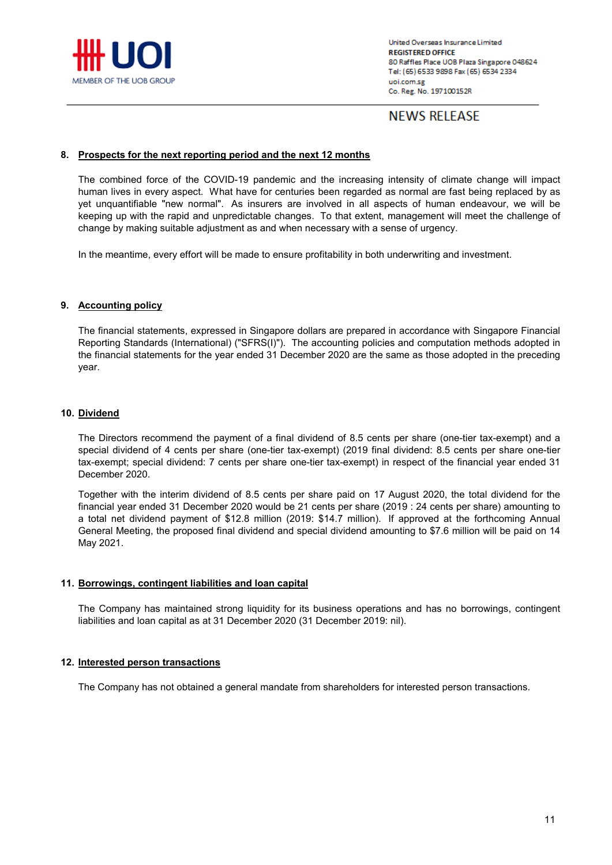

# **NEWS RELEASE**

#### **8. Prospects for the next reporting period and the next 12 months**

The combined force of the COVID-19 pandemic and the increasing intensity of climate change will impact human lives in every aspect. What have for centuries been regarded as normal are fast being replaced by as yet unquantifiable "new normal". As insurers are involved in all aspects of human endeavour, we will be keeping up with the rapid and unpredictable changes. To that extent, management will meet the challenge of change by making suitable adjustment as and when necessary with a sense of urgency.

In the meantime, every effort will be made to ensure profitability in both underwriting and investment.

#### **9. Accounting policy**

The financial statements, expressed in Singapore dollars are prepared in accordance with Singapore Financial Reporting Standards (International) ("SFRS(I)"). The accounting policies and computation methods adopted in the financial statements for the year ended 31 December 2020 are the same as those adopted in the preceding year.

#### **10. Dividend**

The Directors recommend the payment of a final dividend of 8.5 cents per share (one-tier tax-exempt) and a special dividend of 4 cents per share (one-tier tax-exempt) (2019 final dividend: 8.5 cents per share one-tier tax-exempt; special dividend: 7 cents per share one-tier tax-exempt) in respect of the financial year ended 31 December 2020.

Together with the interim dividend of 8.5 cents per share paid on 17 August 2020, the total dividend for the financial year ended 31 December 2020 would be 21 cents per share (2019 : 24 cents per share) amounting to a total net dividend payment of \$12.8 million (2019: \$14.7 million). If approved at the forthcoming Annual General Meeting, the proposed final dividend and special dividend amounting to \$7.6 million will be paid on 14 May 2021.

#### **11. Borrowings, contingent liabilities and loan capital**

The Company has maintained strong liquidity for its business operations and has no borrowings, contingent liabilities and loan capital as at 31 December 2020 (31 December 2019: nil).

#### **12. Interested person transactions**

The Company has not obtained a general mandate from shareholders for interested person transactions.